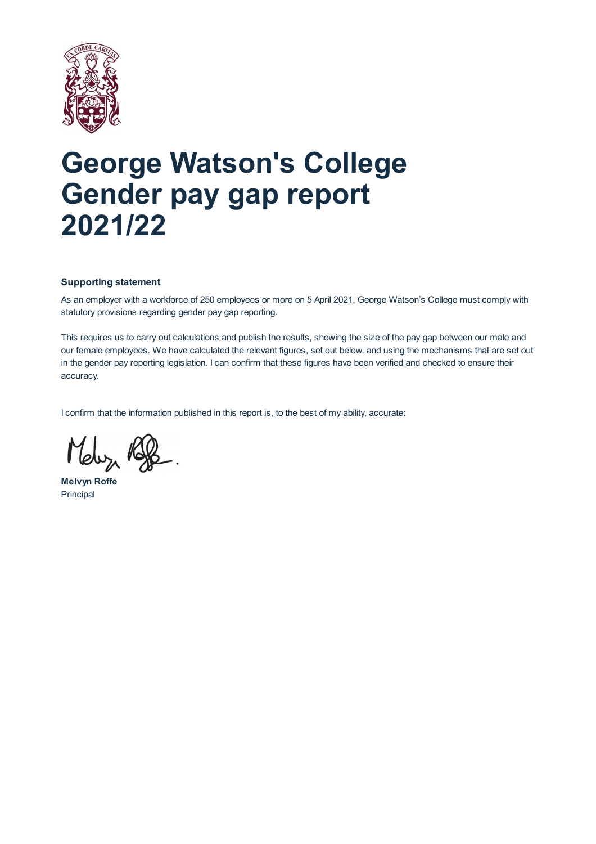

# **George Watson's College Gender pay gap report 2021/22**

# **Supporting statement**

As an employer with a workforce of 250 employees or more on 5 April 2021, George Watson's College must comply with statutory provisions regarding gender pay gap reporting.

This requires us to carry out calculations and publish the results, showing the size of the pay gap between our male and our female employees. We have calculated the relevant figures, set out below, and using the mechanisms that are set out in the gender pay reporting legislation. I can confirm that these figures have been verified and checked to ensure their accuracy.

I confirm that the information published in this report is, to the best of my ability, accurate:

**Melvyn Roffe** Principal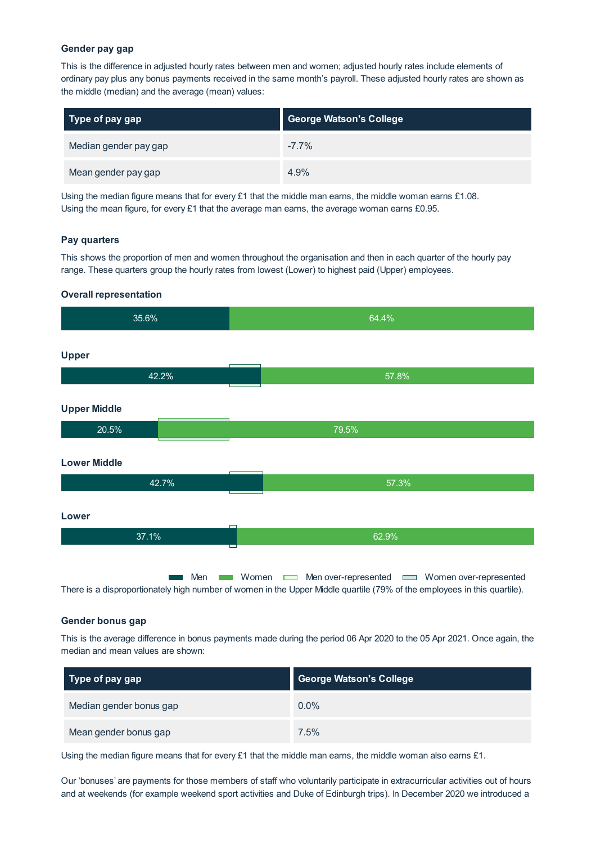### **Gender pay gap**

This is the difference in adjusted hourly rates between men and women; adjusted hourly rates include elements of ordinary pay plus any bonus payments received in the same month's payroll. These adjusted hourly rates are shown as the middle (median) and the average (mean) values:

| $\mid$ Type of pay gap | <b>George Watson's College</b> |
|------------------------|--------------------------------|
| Median gender pay gap  | $-7.7\%$                       |
| Mean gender pay gap    | 4.9%                           |

Using the median figure means that for every £1 that the middle man earns, the middle woman earns £1.08. Using the mean figure, for every  $£1$  that the average man earns, the average woman earns  $£0.95$ .

## **Pay quarters**

This shows the proportion of men and women throughout the organisation and then in each quarter of the hourly pay range. These quarters group the hourly rates from lowest (Lower) to highest paid (Upper) employees.

#### **Overall representation**

| 35.6%               | 64.4%                                                                                                                                                                                                          |
|---------------------|----------------------------------------------------------------------------------------------------------------------------------------------------------------------------------------------------------------|
| <b>Upper</b>        |                                                                                                                                                                                                                |
| 42.2%               | 57.8%                                                                                                                                                                                                          |
| <b>Upper Middle</b> |                                                                                                                                                                                                                |
| 20.5%               | 79.5%                                                                                                                                                                                                          |
| <b>Lower Middle</b> |                                                                                                                                                                                                                |
| 42.7%               | 57.3%                                                                                                                                                                                                          |
| Lower               |                                                                                                                                                                                                                |
| 37.1%               | 62.9%<br><b>The Contract of the Contract</b>                                                                                                                                                                   |
| Men                 | Women<br>Men over-represented <u>and</u> Women over-represented<br><b>Contract</b><br>There is a disproportionately high number of women in the Upper Middle quartile (79% of the employees in this quartile). |

#### **Gender bonus gap**

This is the average difference in bonus payments made during the period 06 Apr 2020 to the 05 Apr 2021. Once again, the median and mean values are shown:

| Type of pay gap         | <b>George Watson's College</b> |
|-------------------------|--------------------------------|
| Median gender bonus gap | $0.0\%$                        |
| Mean gender bonus gap   | 7.5%                           |

Using the median figure means that for every £1 that the middle man earns, the middle woman also earns £1.

Our 'bonuses' are payments for those members of staff who voluntarily participate in extracurricular activities out of hours and at weekends (for example weekend sport activities and Duke of Edinburgh trips). In December 2020 we introduced a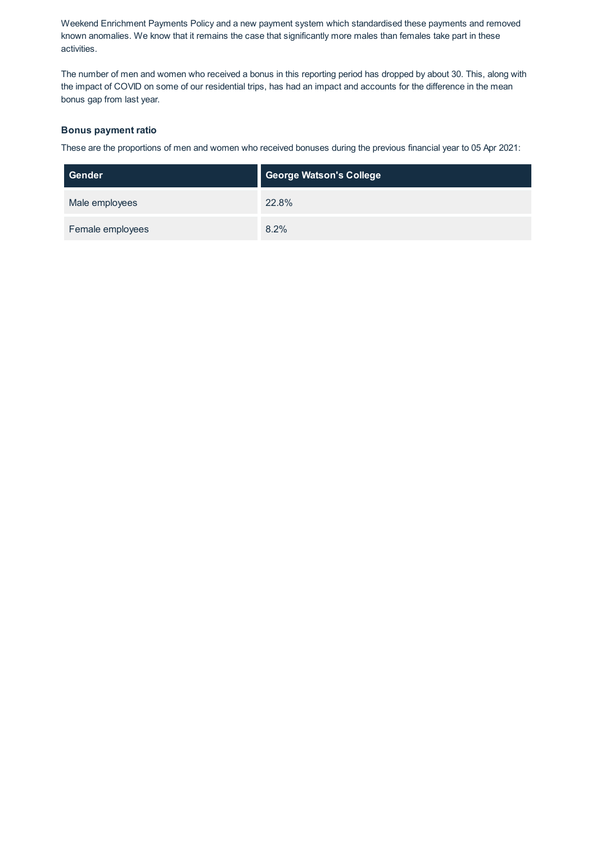Weekend Enrichment Payments Policy and a new payment system which standardised these payments and removed known anomalies. We know that it remains the case that significantly more males than females take part in these activities.

The number of men and women who received a bonus in this reporting period has dropped by about 30. This, along with the impact of COVID on some of our residential trips, has had an impact and accounts for the difference in the mean bonus gap from last year.

## **Bonus payment ratio**

These are the proportions of men and women who received bonuses during the previous financial year to 05 Apr 2021:

| Gender           | <b>George Watson's College</b> |
|------------------|--------------------------------|
| Male employees   | 22.8%                          |
| Female employees | 8.2%                           |